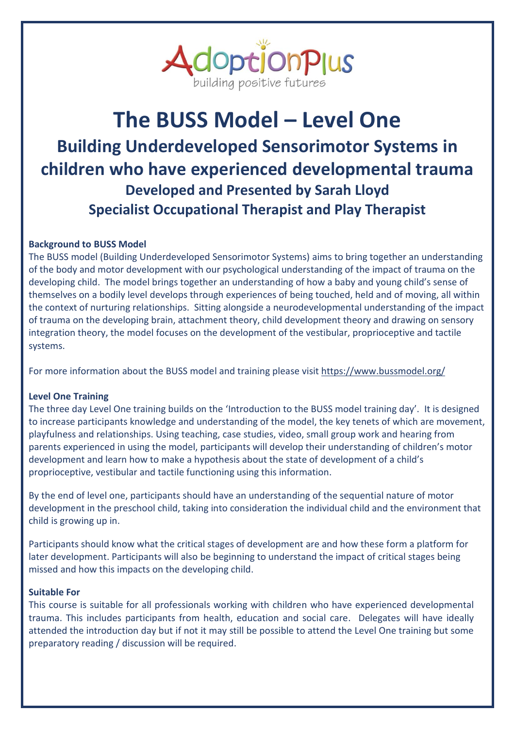

# **The BUSS Model – Level One Building Underdeveloped Sensorimotor Systems in children who have experienced developmental trauma Developed and Presented by Sarah Lloyd Specialist Occupational Therapist and Play Therapist**

## **Background to BUSS Model**

The BUSS model (Building Underdeveloped Sensorimotor Systems) aims to bring together an understanding of the body and motor development with our psychological understanding of the impact of trauma on the developing child. The model brings together an understanding of how a baby and young child's sense of themselves on a bodily level develops through experiences of being touched, held and of moving, all within the context of nurturing relationships. Sitting alongside a neurodevelopmental understanding of the impact of trauma on the developing brain, attachment theory, child development theory and drawing on sensory integration theory, the model focuses on the development of the vestibular, proprioceptive and tactile systems.

For more information about the BUSS model and training please visit<https://www.bussmodel.org/>

### **Level One Training**

The three day Level One training builds on the 'Introduction to the BUSS model training day'. It is designed to increase participants knowledge and understanding of the model, the key tenets of which are movement, playfulness and relationships. Using teaching, case studies, video, small group work and hearing from parents experienced in using the model, participants will develop their understanding of children's motor development and learn how to make a hypothesis about the state of development of a child's proprioceptive, vestibular and tactile functioning using this information.

By the end of level one, participants should have an understanding of the sequential nature of motor development in the preschool child, taking into consideration the individual child and the environment that child is growing up in.

Participants should know what the critical stages of development are and how these form a platform for later development. Participants will also be beginning to understand the impact of critical stages being missed and how this impacts on the developing child.

#### **Suitable For**

This course is suitable for all professionals working with children who have experienced developmental trauma. This includes participants from health, education and social care. Delegates will have ideally attended the introduction day but if not it may still be possible to attend the Level One training but some preparatory reading / discussion will be required.